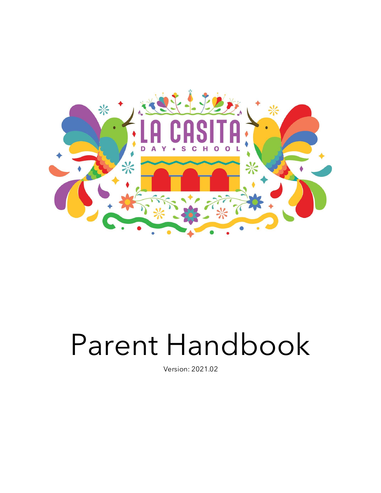

# Parent Handbook

Version: 2021.02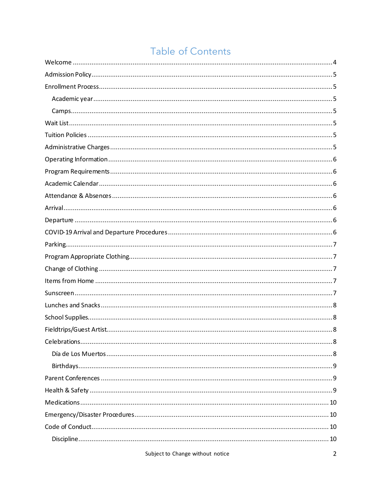# Table of Contents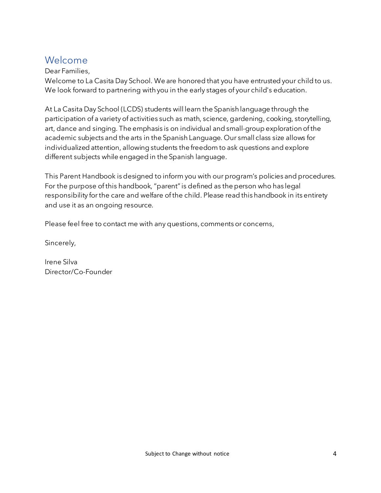## Welcome

#### Dear Families,

Welcome to La Casita Day School. We are honored that you have entrusted your child to us. We look forward to partnering with you in the early stages of your child's education.

At La Casita Day School (LCDS) students will learn the Spanish language through the participation of a variety of activities such as math, science, gardening, cooking, storytelling, art, dance and singing. The emphasis is on individual and small-group exploration of the academic subjects and the arts in the Spanish Language. Our small class size allows for individualized attention, allowing students the freedom to ask questions and explore different subjects while engaged in the Spanish language.

This Parent Handbook is designed to inform you with our program's policies and procedures. For the purpose of this handbook, "parent" is defined as the person who has legal responsibility for the care and welfare of the child. Please read this handbook in its entirety and use it as an ongoing resource.

Please feel free to contact me with any questions, comments or concerns,

Sincerely,

Irene Silva Director/Co-Founder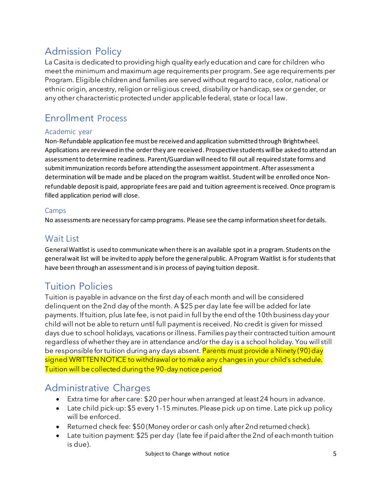## Admission Policy

La Casita is dedicated to providing high quality early education and care for children who meet the minimum and maximum age requirements per program. See age requirements per Program. Eligible children and families are served without regard to race, color, national or ethnic origin, ancestry, religion or religious creed, disability or handicap, sex or gender, or any other characteristic protected under applicable federal, state or local law.

# Enrollment Process

#### Academic year

Non-Refundable application fee must be received and application submitted through Brightwheel. Applications are reviewed in the order they are received. Prospective students will be asked to attend an assessment to determine readiness. Parent/Guardian will need to fill out all required state forms and submit immunization records before attending the assessment appointment. After assessment a determination will be made and be placed on the program waitlist. Student will be enrolled once Nonrefundable depositis paid, appropriate fees are paid and tuition agreement is received. Once program is filled application period will close.

#### Camps

No assessments are necessary for camp programs. Please see the camp information sheet for details.

#### Wait List

GeneralWaitlist is used to communicate when there is an available spot in a program. Students on the general wait list will be invited to apply before the general public. A Program Waitlist is for students that have been through an assessment and is in process of paying tuition deposit.

## Tuition Policies

Tuition is payable in advance on the first day of each month and will be considered delinquent on the 2nd day of the month. A \$25 per day late fee will be added for late payments. If tuition, plus late fee, is not paid in full by the end of the 10th business day your child will not be able to return until full payment is received. No credit is given for missed days due to school holidays, vacations or illness. Families pay their contracted tuition amount regardless of whether they are in attendance and/or the day is a school holiday. You will still be responsible for tuition during any days absent. Parents must provide a Ninety (90) day signed WRITTEN NOTICE to withdrawal orto make any changes in your child's schedule. Tuition will be collected during the 90-day notice period

## Administrative Charges

- Extra time for after care: \$20 per hour when arranged at least 24 hours in advance.
- Late child pick-up: \$5 every 1-15 minutes. Please pick up on time. Late pick up policy will be enforced.
- Returned check fee: \$50 (Money order or cash only after 2nd returned check).
- Late tuition payment: \$25 per day (late fee if paid after the 2nd of each month tuition is due).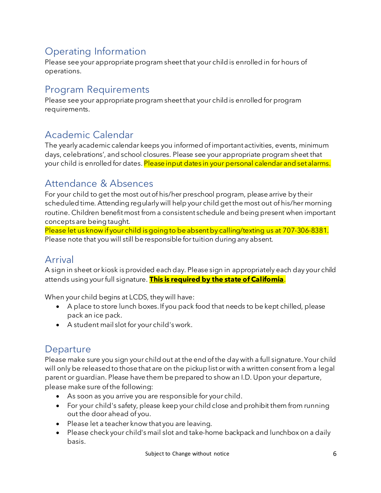# Operating Information

Please see your appropriate program sheet that your child is enrolled in for hours of operations.

## Program Requirements

Please see your appropriate program sheet that your child is enrolled for program requirements.

## Academic Calendar

The yearly academic calendar keeps you informed of important activities, events, minimum days, celebrations', and school closures. Please see your appropriate program sheet that your child is enrolled for dates. Please input dates in your personal calendar and set alarms.

## Attendance & Absences

For your child to get the most out of his/her preschool program, please arrive by their scheduled time. Attending regularly will help your child get the most out of his/her morning routine. Children benefit most from a consistent schedule and being present when important concepts are being taught.

Please let us know if your child is going to be absent by calling/texting us at 707-306-8381. Please note that you will still be responsible for tuition during any absent.

## Arrival

A sign in sheet or kiosk is provided each day. Please sign in appropriately each day your child attends using your full signature. **This is required by the state of California**.

When your child begins at LCDS, they will have:

- A place to store lunch boxes. If you pack food that needs to be kept chilled, please pack an ice pack.
- A student mail slot for your child's work.

## **Departure**

Please make sure you sign your child out at the end of the day with a full signature. Your child will only be released to those that are on the pickup list or with a written consent from a legal parent or guardian. Please have them be prepared to show an I.D. Upon your departure, please make sure of the following:

- As soon as you arrive you are responsible for your child.
- For your child's safety, please keep your child close and prohibit them from running out the door ahead of you.
- Please let a teacher know that you are leaving.
- Please check your child's mail slot and take-home backpack and lunchbox on a daily basis.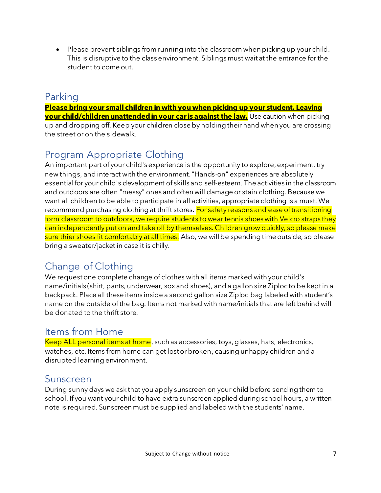• Please prevent siblings from running into the classroom when picking up your child. This is disruptive to the class environment. Siblings must wait at the entrance for the student to come out.

## Parking

**Please bring your small children in with you when picking up your student. Leaving your child/children unattended in your car is against the law.** Use caution when picking up and dropping off. Keep your children close by holding their hand when you are crossing the street or on the sidewalk.

# Program Appropriate Clothing

An important part of your child's experience is the opportunity to explore, experiment, try new things, and interact with the environment. "Hands-on" experiences are absolutely essential for your child's development of skills and self-esteem. The activities in the classroom and outdoors are often "messy" ones and often will damage or stain clothing. Because we want all children to be able to participate in all activities, appropriate clothing is a must. We recommend purchasing clothing at thrift stores. For safety reasons and ease of transitioning form classroom to outdoors, we require students to wear tennis shoes with Velcro straps they can independently put on and take off by themselves. Children grow quickly, so please make sure thier shoes fit comfortably at all times. Also, we will be spending time outside, so please bring a sweater/jacket in case it is chilly.

## Change of Clothing

We request one complete change of clothes with all items marked with your child's name/initials (shirt, pants, underwear, sox and shoes), and a gallon size Ziploc to be kept in a backpack. Place all these items inside a second gallon size Ziploc bag labeled with student's name on the outside of the bag. Items not marked with name/initials that are left behind will be donated to the thrift store.

#### Items from Home

Keep ALL personal items at home, such as accessories, toys, glasses, hats, electronics, watches, etc. Items from home can get lost or broken, causing unhappy children and a disrupted learning environment.

#### Sunscreen

During sunny days we ask that you apply sunscreen on your child before sending them to school. If you want your child to have extra sunscreen applied during school hours, a written note is required. Sunscreen must be supplied and labeled with the students' name.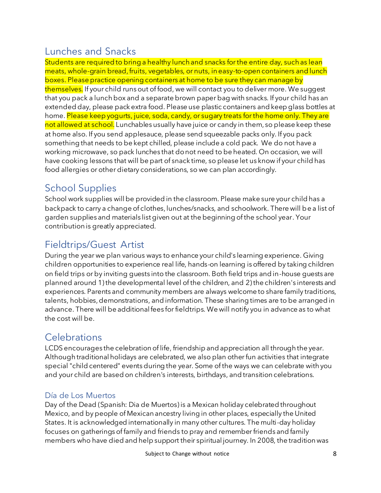## Lunches and Snacks

Students are required to bring a healthy lunch and snacks for the entire day, such as lean meats, whole-grain bread, fruits, vegetables, or nuts, in easy-to-open containers and lunch boxes. Please practice opening containers at home to be sure they can manage by themselves. If your child runs out of food, we will contact you to deliver more. We suggest that you pack a lunch box and a separate brown paper bag with snacks. If your child has an extended day, please pack extra food. Please use plastic containers and keep glass bottles at home. Please keep yogurts, juice, soda, candy, or sugary treats for the home only. They are not allowed at school. Lunchables usually have juice or candy in them, so please keep these at home also. If you send applesauce, please send squeezable packs only. If you pack something that needs to be kept chilled, please include a cold pack. We do not have a working microwave, so pack lunches that do not need to be heated. On occasion, we will have cooking lessons that will be part of snack time, so please let us know if your child has food allergies or other dietary considerations, so we can plan accordingly.

## School Supplies

School work supplies will be provided in the classroom. Please make sure your child has a backpack to carry a change of clothes, lunches/snacks, and schoolwork. There will be a list of garden supplies and materials list given out at the beginning of the school year. Your contribution is greatly appreciated.

## Fieldtrips/Guest Artist

During the year we plan various ways to enhance your child's learning experience. Giving children opportunities to experience real life, hands-on learning is offered by taking children on field trips or by inviting guests into the classroom. Both field trips and in-house guests are planned around 1) the developmental level of the children, and 2) the children's interests and experiences. Parents and community members are always welcome to share family traditions, talents, hobbies, demonstrations, and information. These sharing times are to be arranged in advance. There will be additional fees for fieldtrips. We will notify you in advance as to what the cost will be.

## **Celebrations**

LCDS encourages the celebration of life, friendship and appreciation all through the year. Although traditional holidays are celebrated, we also plan other fun activities that integrate special "child centered" events during the year. Some of the ways we can celebrate with you and your child are based on children's interests, birthdays, and transition celebrations.

#### Día de Los Muertos

Day of the Dead (Spanish: Dia de Muertos) is a Mexican holiday celebrated throughout Mexico, and by people of Mexican ancestry living in other places, especially the United States. It is acknowledged internationally in many other cultures. The multi-day holiday focuses on gatherings of family and friends to pray and remember friends and family members who have died and help support their spiritual journey. In 2008, the tradition was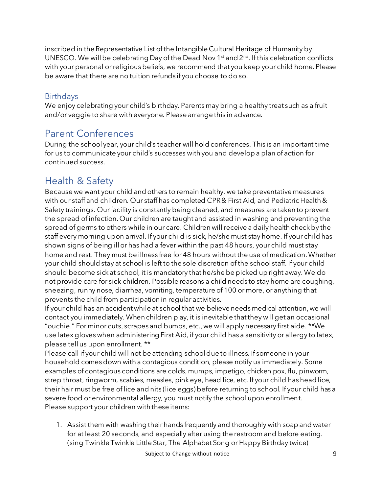inscribed in the Representative List of the Intangible Cultural Heritage of Humanity by UNESCO. We will be celebrating Day of the Dead Nov 1st and  $2^{nd}$ . If this celebration conflicts with your personal or religious beliefs, we recommend that you keep your child home. Please be aware that there are no tuition refunds if you choose to do so.

#### **Birthdays**

We enjoy celebrating your child's birthday. Parents may bring a healthy treat such as a fruit and/or veggie to share with everyone. Please arrange this in advance.

## Parent Conferences

During the school year, your child's teacher will hold conferences. This is an important time for us to communicate your child's successes with you and develop a plan of action for continued success.

## Health & Safety

Because we want your child and others to remain healthy, we take preventative measures with our staff and children. Our staff has completed CPR & First Aid, and Pediatric Health & Safety trainings. Our facility is constantly being cleaned, and measures are taken to prevent the spread of infection. Our children are taught and assisted in washing and preventing the spread of germs to others while in our care. Children will receive a daily health check by the staff every morning upon arrival. If your child is sick, he/she must stay home. If your child has shown signs of being ill or has had a fever within the past 48 hours, your child must stay home and rest. They must be illness free for 48 hours without the use of medication. Whether your child should stay at school is left to the sole discretion of the school staff. If your child should become sick at school, it is mandatory that he/she be picked up right away. We do not provide care for sick children. Possible reasons a child needs to stay home are coughing, sneezing, runny nose, diarrhea, vomiting, temperature of 100 or more, or anything that prevents the child from participation in regular activities.

If your child has an accident while at school that we believe needs medical attention, we will contact you immediately. When children play, it is inevitable that they will get an occasional "ouchie." For minor cuts, scrapes and bumps, etc., we will apply necessary first aide. \*\*We use latex gloves when administering First Aid, if your child has a sensitivity or allergy to latex, please tell us upon enrollment. \*\*

Please call if your child will not be attending school due to illness. If someone in your household comes down with a contagious condition, please notify us immediately. Some examples of contagious conditions are colds, mumps, impetigo, chicken pox, flu, pinworm, strep throat, ringworm, scabies, measles, pink eye, head lice, etc. If your child has head lice, their hair must be free of lice and nits (lice eggs) before returning to school. If your child has a severe food or environmental allergy, you must notify the school upon enrollment. Please support your children with these items:

1. Assist them with washing their hands frequently and thoroughly with soap and water for at least 20 seconds, and especially after using the restroom and before eating. (sing Twinkle Twinkle Little Star, The Alphabet Song or Happy Birthday twice)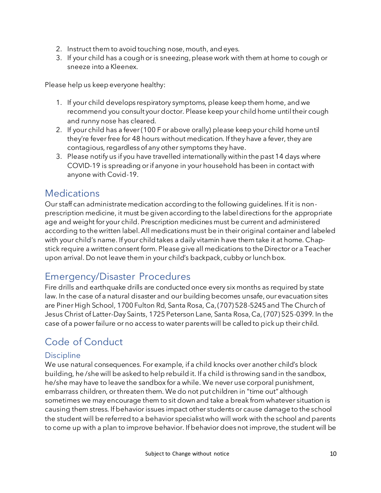- 2. Instruct them to avoid touching nose, mouth, and eyes.
- 3. If your child has a cough or is sneezing, please work with them at home to cough or sneeze into a Kleenex.

Please help us keep everyone healthy:

- 1. If your child develops respiratory symptoms, please keep them home, and we recommend you consult your doctor. Please keep your child home until their cough and runny nose has cleared.
- 2. If your child has a fever (100 F or above orally) please keep your child home until they're fever free for 48 hours without medication. If they have a fever, they are contagious, regardless of any other symptoms they have.
- 3. Please notify us if you have travelled internationally within the past 14 days where COVID-19 is spreading or if anyone in your household has been in contact with anyone with Covid-19.

## **Medications**

Our staff can administrate medication according to the following guidelines. If it is nonprescription medicine, it must be given according to the label directions for the appropriate age and weight for your child. Prescription medicines must be current and administered according to the written label. All medications must be in their original container and labeled with your child's name. If your child takes a daily vitamin have them take it at home. Chapstick require a written consent form. Please give all medications to the Director or a Teacher upon arrival. Do not leave them in your child's backpack, cubby or lunch box.

## Emergency/Disaster Procedures

Fire drills and earthquake drills are conducted once every six months as required by state law. In the case of a natural disaster and our building becomes unsafe, our evacuation sites are Piner High School, 1700 Fulton Rd, Santa Rosa, Ca, (707) 528-5245 and The Church of Jesus Christ of Latter-Day Saints, 1725 Peterson Lane, Santa Rosa, Ca, (707) 525-0399. In the case of a power failure or no access to water parents will be called to pick up their child.

# Code of Conduct

#### **Discipline**

We use natural consequences. For example, if a child knocks over another child's block building, he /she will be asked to help rebuild it. If a child is throwing sand in the sandbox, he/she may have to leave the sandbox for a while. We never use corporal punishment, embarrass children, or threaten them. We do not put children in "time out" although sometimes we may encourage them to sit down and take a break from whatever situation is causing them stress. If behavior issues impact other students or cause damage to the school the student will be referred to a behavior specialist who will work with the school and parents to come up with a plan to improve behavior. If behavior does not improve, the student will be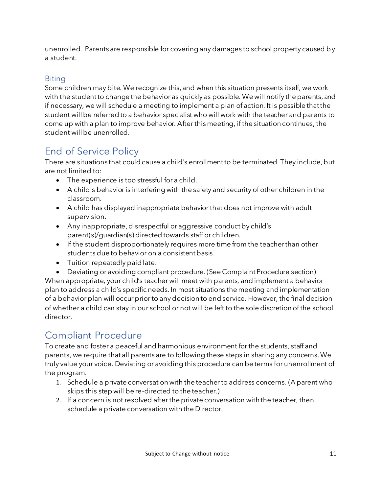unenrolled. Parents are responsible for covering any damages to school property caused by a student.

#### **Biting**

Some children may bite. We recognize this, and when this situation presents itself, we work with the student to change the behavior as quickly as possible. We will notify the parents, and if necessary, we will schedule a meeting to implement a plan of action. It is possible that the student will be referred to a behavior specialist who will work with the teacher and parents to come up with a plan to improve behavior. After this meeting, if the situation continues, the student will be unenrolled.

# End of Service Policy

There are situations that could cause a child's enrollment to be terminated. They include, but are not limited to:

- The experience is too stressful for a child.
- A child's behavior is interfering with the safety and security of other children in the classroom.
- A child has displayed inappropriate behavior that does not improve with adult supervision.
- Any inappropriate, disrespectful or aggressive conduct by child's parent(s)/guardian(s) directed towards staff or children.
- If the student disproportionately requires more time from the teacher than other students due to behavior on a consistent basis.
- Tuition repeatedly paid late.
- Deviating or avoiding compliant procedure. (See Complaint Procedure section)

When appropriate, your child's teacher will meet with parents, and implement a behavior plan to address a child's specific needs. In most situations the meeting and implementation of a behavior plan will occur prior to any decision to end service. However, the final decision of whether a child can stay in our school or not will be left to the sole discretion of the school director.

# Compliant Procedure

To create and foster a peaceful and harmonious environment for the students, staff and parents, we require that all parents are to following these steps in sharing any concerns. We truly value your voice. Deviating or avoiding this procedure can be terms for unenrollment of the program.

- 1. Schedule a private conversation with the teacher to address concerns. (A parent who skips this step will be re-directed to the teacher.)
- 2. If a concern is not resolved after the private conversation with the teacher, then schedule a private conversation with the Director.